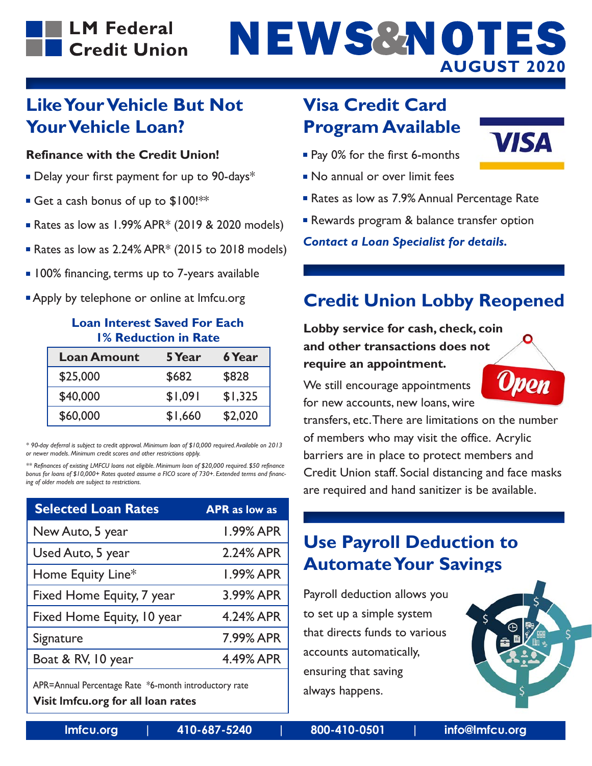### **LM Federal** Credit Union

# NEWS&NOTES **AUGUST 2020**

#### **Like Your Vehicle But Not Your Vehicle Loan?**

#### **Refinance with the Credit Union!**

- Delay your first payment for up to 90-days<sup>\*</sup>
- Get a cash bonus of up to \$100!\*\*
- Rates as low as  $1.99\%$  APR<sup>\*</sup> (2019 & 2020 models)
- Rates as low as  $2.24\%$  APR<sup>\*</sup> (2015 to 2018 models)
- 100% financing, terms up to 7-years available
- Apply by telephone or online at Imfcu.org

#### **Loan Interest Saved For Each 1% Reduction in Rate**

| <b>Loan Amount</b> | 5 Year  | <b>6 Year</b> |
|--------------------|---------|---------------|
| \$25,000           | \$682   | \$828         |
| \$40,000           | \$1,091 | \$1,325       |
| \$60,000           | \$1,660 | \$2,020       |

*\* 90-day deferral is subject to credit approval. Minimum loan of \$10,000 required. Available on 2013 or newer models. Minimum credit scores and other restrictions apply.*

*\*\* Refinances of existing LMFCU loans not eligible. Minimum loan of \$20,000 required. \$50 refinance bonus for loans of \$10,000+ Rates quoted assume a FICO score of 730+. Extended terms and financing of older models are subject to restrictions.*

| <b>Selected Loan Rates</b> | <b>APR</b> as low as |
|----------------------------|----------------------|
| New Auto, 5 year           | 1.99% APR            |
| Used Auto, 5 year          | 2.24% APR            |
| Home Equity Line*          | <b>1.99% APR</b>     |
| Fixed Home Equity, 7 year  | 3.99% APR            |
| Fixed Home Equity, 10 year | 4.24% APR            |
| Signature                  | 7.99% APR            |
| Boat & RV, 10 year         | 4.49% APR            |
|                            |                      |

APR=Annual Percentage Rate \*6-month introductory rate **Visit lmfcu.org for all loan rates**

# **Visa Credit Card Program Available**



- No annual or over limit fees
- Rates as low as 7.9% Annual Percentage Rate
- Rewards program & balance transfer option

*Contact a Loan Specialist for details.*

# **Credit Union Lobby Reopened**

**Lobby service for cash, check, coin and other transactions does not require an appointment.**

We still encourage appointments for new accounts, new loans, wire



**VISA** 

transfers, etc. There are limitations on the number of members who may visit the office. Acrylic barriers are in place to protect members and Credit Union staff. Social distancing and face masks are required and hand sanitizer is be available.

### **Use Payroll Deduction to Automate Your Savings**

Payroll deduction allows you to set up a simple system that directs funds to various accounts automatically, ensuring that saving always happens.